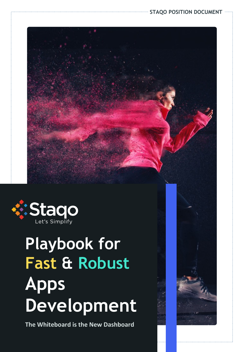

# **Playbook for Fast & Robust Apps Development**

**The Whiteboard is the New Dashboard**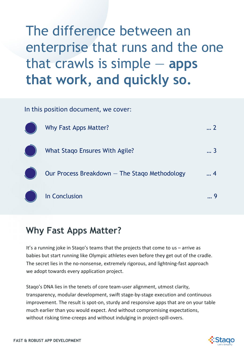## The difference between an enterprise that runs and the one that crawls is simple — **apps that work, and quickly so.**

In this position document, we cover:



## **Why Fast Apps Matter?**

It's a running joke in Staqo's teams that the projects that come to us – arrive as babies but start running like Olympic athletes even before they get out of the cradle. The secret lies in the no-nonsense, extremely rigorous, and lightning-fast approach we adopt towards every application project.

Staqo's DNA lies in the tenets of core team-user alignment, utmost clarity, transparency, modular development, swift stage-by-stage execution and continuous improvement. The result is spot-on, sturdy and responsive apps that are on your table much earlier than you would expect. And without compromising expectations, without risking time-creeps and without indulging in project-spill-overs.

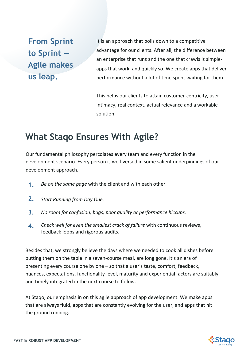**From Sprint to Sprint — Agile makes us leap.**

It is an approach that boils down to a competitive advantage for our clients. After all, the difference between an enterprise that runs and the one that crawls is simpleapps that work, and quickly so. We create apps that deliver performance without a lot of time spent waiting for them.

This helps our clients to attain customer-centricity, userintimacy, real context, actual relevance and a workable solution.

## **What Staqo Ensures With Agile?**

Our fundamental philosophy percolates every team and every function in the development scenario. Every person is well-versed in some salient underpinnings of our development approach.

- *Be on the same page* with the client and with each other. **1.**
- *Start Running from Day One.* **2.**
- *No room for confusion, bugs, poor quality or performance hiccups.* **3.**
- *Check well for even the smallest crack of failure* with continuous reviews, feedback loops and rigorous audits. **4.**

Besides that, we strongly believe the days where we needed to cook all dishes before putting them on the table in a seven-course meal, are long gone. It's an era of presenting every course one by one – so that a user's taste, comfort, feedback, nuances, expectations, functionality-level, maturity and experiential factors are suitably and timely integrated in the next course to follow.

At Staqo, our emphasis in on this agile approach of app development. We make apps that are always fluid, apps that are constantly evolving for the user, and apps that hit the ground running.

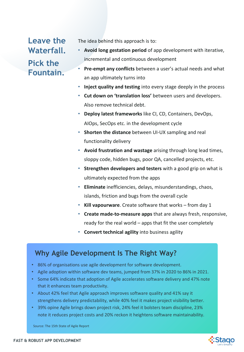### **Leave the Waterfall. Pick the Fountain.**

The idea behind this approach is to:

- **Avoid long gestation period** of app development with iterative, incremental and continuous development
- **Pre-empt any conflicts** between a user's actual needs and what an app ultimately turns into
- **Inject quality and testing** into every stage deeply in the process
- **Cut down on 'translation loss'** between users and developers. Also remove technical debt.
- **Deploy latest frameworks** like CI, CD, Containers, DevOps, AIOps, SecOps etc. in the development cycle
- **Shorten the distance** between UI-UX sampling and real functionality delivery
- **Avoid frustration and wastage** arising through long lead times, sloppy code, hidden bugs, poor QA, cancelled projects, etc.
- **Strengthen developers and testers** with a good grip on what is ultimately expected from the apps
- **Eliminate** inefficiencies, delays, misunderstandings, chaos, islands, friction and bugs from the overall cycle
- **Kill vapourware**. Create software that works from day 1
- **Create made-to-measure apps** that are always fresh, responsive, ready for the real world – apps that fit the user completely
- **Convert technical agility** into business agility

### **Why Agile Development Is The Right Way?**

- 86% of organisations use agile development for software development.
- Agile adoption within software dev teams, jumped from 37% in 2020 to 86% in 2021.
- Some 64% indicate that adoption of Agile accelerates software delivery and 47% note that it enhances team productivity.
- About 42% feel that Agile approach improves software quality and 41% say it strengthens delivery predictability, while 40% feel it makes project visibility better.
- 39% opine Agile brings down project risk, 24% feel it bolsters team discipline, 23% note it reduces project costs and 20% reckon it heightens software maintainability.

Source: The 15th State of Agile Report

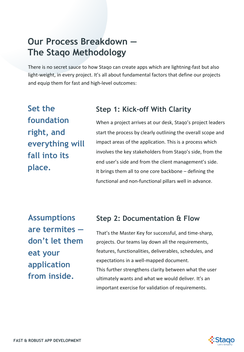## **Our Process Breakdown — The Staqo Methodology**

There is no secret sauce to how Staqo can create apps which are lightning-fast but also light-weight, in every project. It's all about fundamental factors that define our projects and equip them for fast and high-level outcomes:

**Set the foundation right, and everything will fall into its place.**

#### **Step 1: Kick-off With Clarity**

When a project arrives at our desk, Staqo's project leaders start the process by clearly outlining the overall scope and impact areas of the application. This is a process which involves the key stakeholders from Staqo's side, from the end user's side and from the client management's side. It brings them all to one core backbone – defining the functional and non-functional pillars well in advance.

**Assumptions are termites don't let them eat your application from inside.**

#### **Step 2: Documentation & Flow**

That's the Master Key for successful, and time-sharp, projects. Our teams lay down all the requirements, features, functionalities, deliverables, schedules, and expectations in a well-mapped document. This further strengthens clarity between what the user ultimately wants and what we would deliver. It's an important exercise for validation of requirements.

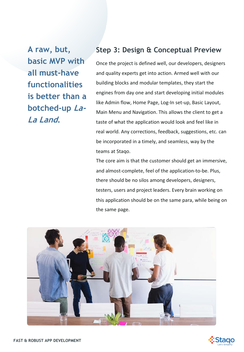**A raw, but, basic MVP with all must-have functionalities is better than a botched-up La-La Land.**

#### **Step 3: Design & Conceptual Preview**

Once the project is defined well, our developers, designers and quality experts get into action. Armed well with our building blocks and modular templates, they start the engines from day one and start developing initial modules like Admin flow, Home Page, Log-In set-up, Basic Layout, Main Menu and Navigation. This allows the client to get a taste of what the application would look and feel like in real world. Any corrections, feedback, suggestions, etc. can be incorporated in a timely, and seamless, way by the teams at Staqo.

The core aim is that the customer should get an immersive, and almost-complete, feel of the application-to-be. Plus, there should be no silos among developers, designers, testers, users and project leaders. Every brain working on this application should be on the same para, while being on the same page.



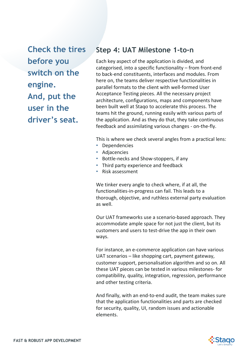**Check the tires before you switch on the engine. And, put the user in the driver's seat.**

#### **Step 4: UAT Milestone 1-to-n**

Each key aspect of the application is divided, and categorised, into a specific functionality – from front-end to back-end constituents, interfaces and modules. From here on, the teams deliver respective functionalities in parallel formats to the client with well-formed User Acceptance Testing pieces. All the necessary project architecture, configurations, maps and components have been built well at Staqo to accelerate this process. The teams hit the ground, running easily with various parts of the application. And as they do that, they take continuous feedback and assimilating various changes - on-the-fly.

This is where we check several angles from a practical lens:

- Dependencies
- Adjacencies
- Bottle-necks and Show-stoppers, if any
- Third party experience and feedback
- Risk assessment

We tinker every angle to check where, if at all, the functionalities-in-progress can fail. This leads to a thorough, objective, and ruthless external party evaluation as well.

Our UAT frameworks use a scenario-based approach. They accommodate ample space for not just the client, but its customers and users to test-drive the app in their own ways.

For instance, an e-commerce application can have various UAT scenarios – like shopping cart, payment gateway, customer support, personalisation algorithm and so on. All these UAT pieces can be tested in various milestones- for compatibility, quality, integration, regression, performance and other testing criteria.

And finally, with an end-to-end audit, the team makes sure that the application functionalities and parts are checked for security, quality, UI, random issues and actionable elements.

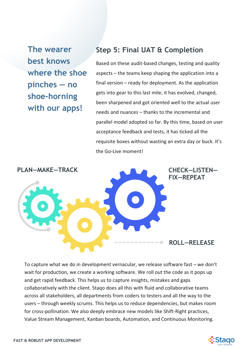**The wearer best knows where the shoe pinches — no shoe-horning with our apps!**

#### **Step 5: Final UAT & Completion**

Based on these audit-based changes, testing and quality aspects – the teams keep shaping the application into a final version – ready for deployment. As the application gets into gear to this last mile; it has evolved, changed, been sharpened and got oriented well to the actual user needs and nuances – thanks to the incremental and parallel model adopted so far. By this time, based on user acceptance feedback and tests, it has ticked all the requisite boxes without wasting an extra day or buck. It's the Go-Live moment!



To capture what we do in development vernacular, we release software fast – we don't wait for production, we create a working software. We roll out the code as it pops up and get rapid feedback. This helps us to capture insights, mistakes and gaps collaboratively with the client. Staqo does all this with fluid and collaborative teams across all stakeholders, all departments from coders to testers and all the way to the users – through weekly scrums. This helps us to reduce dependencies, but makes room for cross-pollination. We also deeply embrace new models like Shift-Right practices, Value Stream Management, Kanban boards, Automation, and Continuous Monitoring.

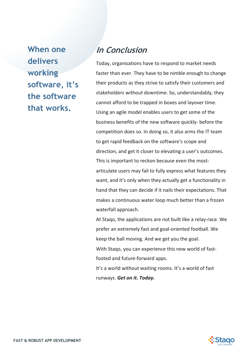**When one delivers working software, it's the software that works.**

#### **In Conclusion**

Today, organisations have to respond to market needs faster than ever. They have to be nimble enough to change their products as they strive to satisfy their customers and stakeholders without downtime. So, understandably, they cannot afford to be trapped in boxes and layover time. Using an agile model enables users to get some of the business benefits of the new software quickly- before the competition does so. In doing so, it also arms the IT team to get rapid feedback on the software's scope and direction, and get it closer to elevating a user's outcomes. This is important to reckon because even the mostarticulate users may fail to fully express what features they want, and it's only when they actually get a functionality in hand that they can decide if it nails their expectations. That makes a continuous water loop much better than a frozen waterfall approach.

At Staqo, the applications are not built like a relay-race. We prefer an extremely fast and goal-oriented football. We keep the ball moving. And we get you the goal.

With Staqo, you can experience this new world of fastfooted and future-forward apps.

It's a world without waiting rooms. It's a world of fast runways. *Get on it. Today.*